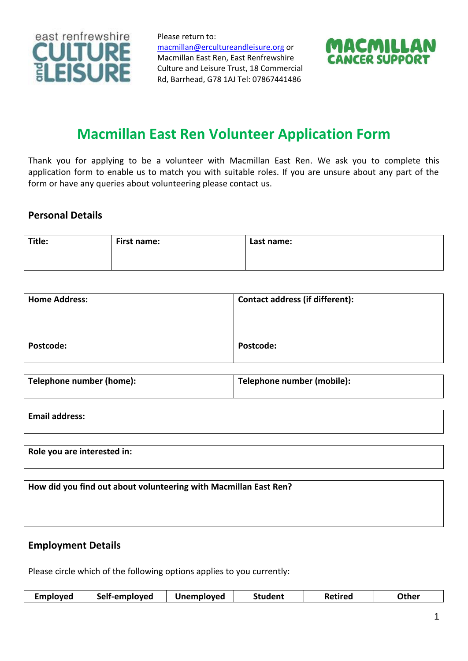

Please return to: [macmillan@ercultureandleisure.org](mailto:macmillan@ercultureandleisure.org) or Macmillan East Ren, East Renfrewshire Culture and Leisure Trust, 18 Commercial Rd, Barrhead, G78 1AJ Tel: 07867441486



# **Macmillan East Ren Volunteer Application Form**

Thank you for applying to be a volunteer with Macmillan East Ren. We ask you to complete this application form to enable us to match you with suitable roles. If you are unsure about any part of the form or have any queries about volunteering please contact us.

# **Personal Details**

| Title: | First name: | Last name: |
|--------|-------------|------------|
|        |             |            |
|        |             |            |

| <b>Home Address:</b> | <b>Contact address (if different):</b> |
|----------------------|----------------------------------------|
|                      |                                        |
|                      |                                        |
| Postcode:            | Postcode:                              |

| Telephone number (home): | Telephone number (mobile): |
|--------------------------|----------------------------|
|                          |                            |

| <b>Email address:</b> |  |  |  |
|-----------------------|--|--|--|
|                       |  |  |  |
|                       |  |  |  |
|                       |  |  |  |

**Role you are interested in:**

**How did you find out about volunteering with Macmillan East Ren?**

#### **Employment Details**

Please circle which of the following options applies to you currently:

| <b>Employed</b> | Self-employed | <b>Unemployed</b> | Student | <b>Retired</b> | Other |
|-----------------|---------------|-------------------|---------|----------------|-------|
|-----------------|---------------|-------------------|---------|----------------|-------|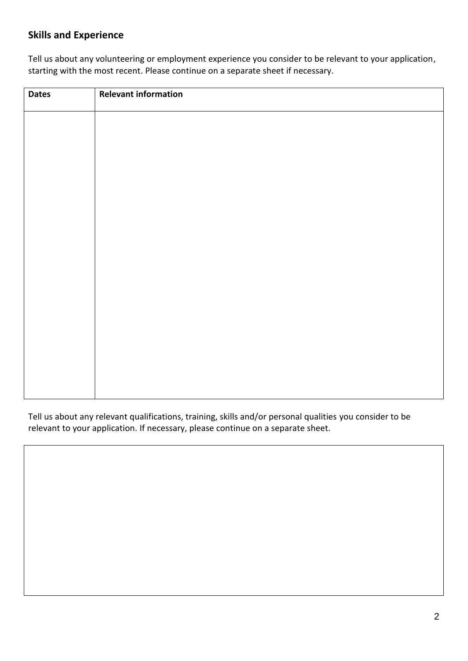# **Skills and Experience**

Tell us about any volunteering or employment experience you consider to be relevant to your application, starting with the most recent. Please continue on a separate sheet if necessary.

| <b>Dates</b> | <b>Relevant information</b> |
|--------------|-----------------------------|
|              |                             |
|              |                             |
|              |                             |
|              |                             |
|              |                             |
|              |                             |
|              |                             |
|              |                             |
|              |                             |
|              |                             |
|              |                             |
|              |                             |
|              |                             |

Tell us about any relevant qualifications, training, skills and/or personal qualities you consider to be relevant to your application. If necessary, please continue on a separate sheet.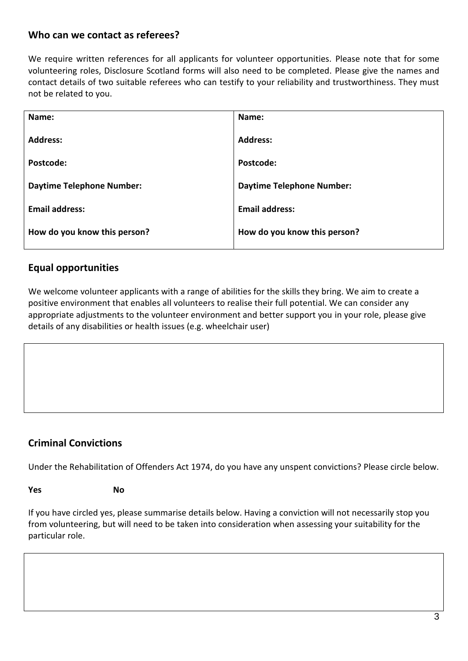# **Who can we contact as referees?**

We require written references for all applicants for volunteer opportunities. Please note that for some volunteering roles, Disclosure Scotland forms will also need to be completed. Please give the names and contact details of two suitable referees who can testify to your reliability and trustworthiness. They must not be related to you.

| Name:                            | Name:                            |
|----------------------------------|----------------------------------|
| <b>Address:</b>                  | <b>Address:</b>                  |
| Postcode:                        | Postcode:                        |
| <b>Daytime Telephone Number:</b> | <b>Daytime Telephone Number:</b> |
| <b>Email address:</b>            | <b>Email address:</b>            |
| How do you know this person?     | How do you know this person?     |

# **Equal opportunities**

We welcome volunteer applicants with a range of abilities for the skills they bring. We aim to create a positive environment that enables all volunteers to realise their full potential. We can consider any appropriate adjustments to the volunteer environment and better support you in your role, please give details of any disabilities or health issues (e.g. wheelchair user)

# **Criminal Convictions**

Under the Rehabilitation of Offenders Act 1974, do you have any unspent convictions? Please circle below.

**Yes** No

If you have circled yes, please summarise details below. Having a conviction will not necessarily stop you from volunteering, but will need to be taken into consideration when assessing your suitability for the particular role.